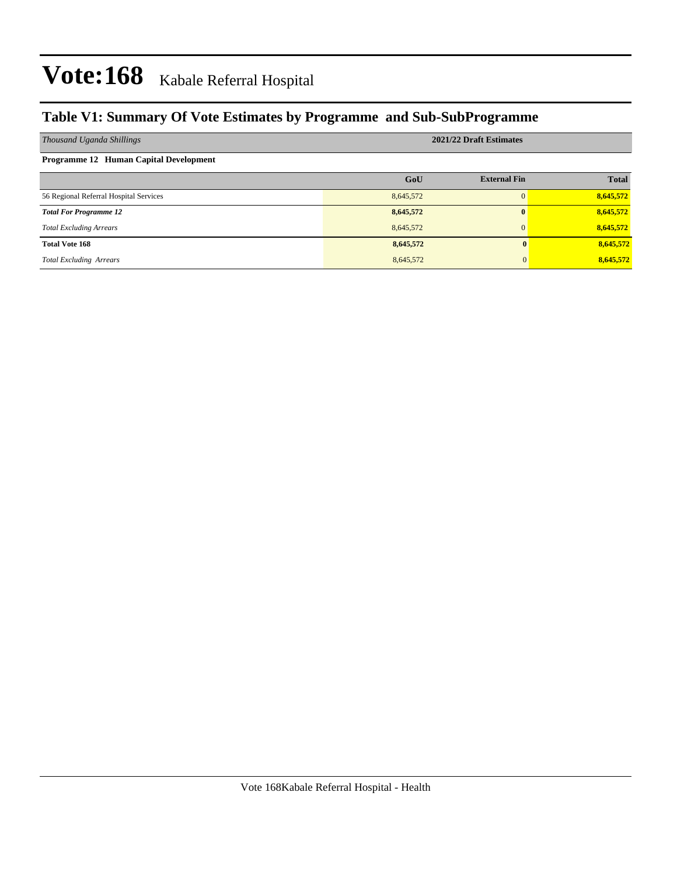### **Table V1: Summary Of Vote Estimates by Programme and Sub-SubProgramme**

| Thousand Uganda Shillings                     |           | 2021/22 Draft Estimates |              |
|-----------------------------------------------|-----------|-------------------------|--------------|
| <b>Programme 12 Human Capital Development</b> |           |                         |              |
|                                               | GoU       | <b>External Fin</b>     | <b>Total</b> |
| 56 Regional Referral Hospital Services        | 8,645,572 | $\Omega$                | 8,645,572    |
| <b>Total For Programme 12</b>                 | 8,645,572 | $\mathbf{0}$            | 8,645,572    |
| <b>Total Excluding Arrears</b>                | 8,645,572 | $\mathbf{0}$            | 8,645,572    |
| <b>Total Vote 168</b>                         | 8,645,572 |                         | 8,645,572    |
| <b>Total Excluding Arrears</b>                | 8,645,572 |                         | 8,645,572    |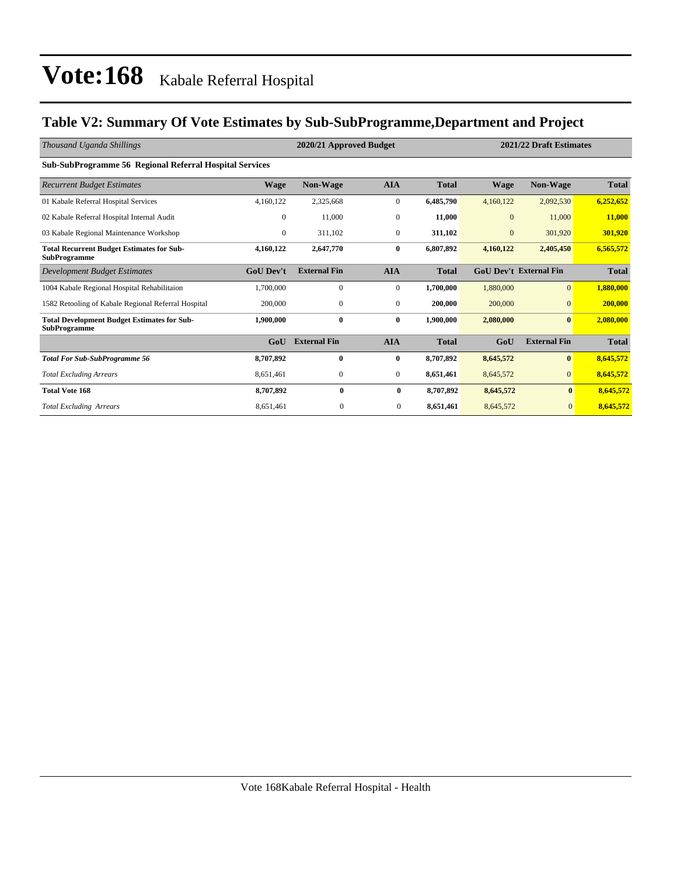### **Table V2: Summary Of Vote Estimates by Sub-SubProgramme,Department and Project**

| Thousand Uganda Shillings                                                 |                  | 2020/21 Approved Budget |                  | 2021/22 Draft Estimates |              |                               |              |
|---------------------------------------------------------------------------|------------------|-------------------------|------------------|-------------------------|--------------|-------------------------------|--------------|
| <b>Sub-SubProgramme 56 Regional Referral Hospital Services</b>            |                  |                         |                  |                         |              |                               |              |
| <b>Recurrent Budget Estimates</b>                                         | <b>Wage</b>      | Non-Wage                | <b>AIA</b>       | <b>Total</b>            | Wage         | <b>Non-Wage</b>               | Total        |
| 01 Kabale Referral Hospital Services                                      | 4,160,122        | 2,325,668               | $\boldsymbol{0}$ | 6,485,790               | 4,160,122    | 2,092,530                     | 6,252,652    |
| 02 Kabale Referral Hospital Internal Audit                                | $\overline{0}$   | 11,000                  | $\mathbf{0}$     | 11,000                  | $\mathbf{0}$ | 11,000                        | 11,000       |
| 03 Kabale Regional Maintenance Workshop                                   | $\mathbf{0}$     | 311,102                 | $\mathbf{0}$     | 311,102                 | $\mathbf{0}$ | 301,920                       | 301,920      |
| <b>Total Recurrent Budget Estimates for Sub-</b><br><b>SubProgramme</b>   | 4,160,122        | 2,647,770               | $\bf{0}$         | 6,807,892               | 4,160,122    | 2,405,450                     | 6,565,572    |
| Development Budget Estimates                                              | <b>GoU Dev't</b> | <b>External Fin</b>     | <b>AIA</b>       | <b>Total</b>            |              | <b>GoU Dev't External Fin</b> | <b>Total</b> |
| 1004 Kabale Regional Hospital Rehabilitaion                               | 1,700,000        | $\mathbf{0}$            | $\mathbf{0}$     | 1,700,000               | 1,880,000    | $\Omega$                      | 1,880,000    |
| 1582 Retooling of Kabale Regional Referral Hospital                       | 200,000          | $\boldsymbol{0}$        | $\mathbf{0}$     | 200,000                 | 200,000      | $\overline{0}$                | 200,000      |
| <b>Total Development Budget Estimates for Sub-</b><br><b>SubProgramme</b> | 1,900,000        | $\bf{0}$                | $\bf{0}$         | 1,900,000               | 2,080,000    | $\bf{0}$                      | 2,080,000    |
|                                                                           | GoU              | <b>External Fin</b>     | <b>AIA</b>       | <b>Total</b>            | GoU          | <b>External Fin</b>           | <b>Total</b> |
| <b>Total For Sub-SubProgramme 56</b>                                      | 8,707,892        | $\mathbf{0}$            | $\bf{0}$         | 8,707,892               | 8,645,572    | $\bf{0}$                      | 8,645,572    |
| <b>Total Excluding Arrears</b>                                            | 8,651,461        | $\boldsymbol{0}$        | $\mathbf{0}$     | 8,651,461               | 8,645,572    | $\overline{0}$                | 8,645,572    |
| <b>Total Vote 168</b>                                                     | 8,707,892        | $\bf{0}$                | $\bf{0}$         | 8,707,892               | 8,645,572    | $\bf{0}$                      | 8,645,572    |
| <b>Total Excluding Arrears</b>                                            | 8,651,461        | $\mathbf{0}$            | $\mathbf{0}$     | 8,651,461               | 8,645,572    | $\mathbf{0}$                  | 8,645,572    |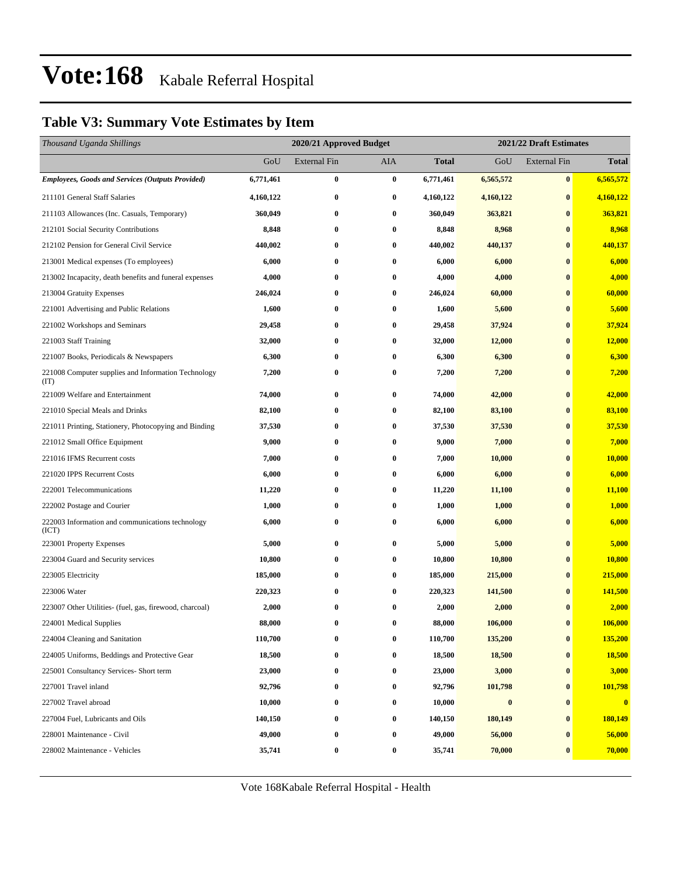### **Table V3: Summary Vote Estimates by Item**

| Thousand Uganda Shillings                                   |           | 2020/21 Approved Budget |                  |              | 2021/22 Draft Estimates |                     |              |  |
|-------------------------------------------------------------|-----------|-------------------------|------------------|--------------|-------------------------|---------------------|--------------|--|
|                                                             | GoU       | <b>External Fin</b>     | AIA              | <b>Total</b> | GoU                     | <b>External Fin</b> | <b>Total</b> |  |
| <b>Employees, Goods and Services (Outputs Provided)</b>     | 6,771,461 | $\bf{0}$                | $\bf{0}$         | 6,771,461    | 6,565,572               | $\pmb{0}$           | 6,565,572    |  |
| 211101 General Staff Salaries                               | 4,160,122 | $\bf{0}$                | $\bf{0}$         | 4,160,122    | 4,160,122               | $\bf{0}$            | 4,160,122    |  |
| 211103 Allowances (Inc. Casuals, Temporary)                 | 360,049   | $\bf{0}$                | $\bf{0}$         | 360,049      | 363,821                 | $\bf{0}$            | 363,821      |  |
| 212101 Social Security Contributions                        | 8,848     | $\bf{0}$                | $\bf{0}$         | 8,848        | 8,968                   | $\bf{0}$            | 8,968        |  |
| 212102 Pension for General Civil Service                    | 440,002   | $\bf{0}$                | $\bf{0}$         | 440,002      | 440,137                 | $\bf{0}$            | 440,137      |  |
| 213001 Medical expenses (To employees)                      | 6,000     | $\bf{0}$                | $\bf{0}$         | 6,000        | 6,000                   | $\bf{0}$            | 6,000        |  |
| 213002 Incapacity, death benefits and funeral expenses      | 4,000     | $\bf{0}$                | $\bf{0}$         | 4,000        | 4,000                   | $\bf{0}$            | 4,000        |  |
| 213004 Gratuity Expenses                                    | 246,024   | $\bf{0}$                | $\boldsymbol{0}$ | 246,024      | 60,000                  | $\bf{0}$            | 60,000       |  |
| 221001 Advertising and Public Relations                     | 1,600     | $\bf{0}$                | $\bf{0}$         | 1,600        | 5,600                   | $\bf{0}$            | 5,600        |  |
| 221002 Workshops and Seminars                               | 29,458    | $\bf{0}$                | $\bf{0}$         | 29,458       | 37,924                  | $\bf{0}$            | 37,924       |  |
| 221003 Staff Training                                       | 32,000    | $\bf{0}$                | $\bf{0}$         | 32,000       | 12,000                  | $\bf{0}$            | 12,000       |  |
| 221007 Books, Periodicals & Newspapers                      | 6,300     | $\bf{0}$                | 0                | 6,300        | 6,300                   | $\bf{0}$            | 6,300        |  |
| 221008 Computer supplies and Information Technology<br>(TT) | 7,200     | $\bf{0}$                | $\boldsymbol{0}$ | 7,200        | 7,200                   | $\bf{0}$            | 7,200        |  |
| 221009 Welfare and Entertainment                            | 74,000    | $\bf{0}$                | $\bf{0}$         | 74,000       | 42,000                  | $\bf{0}$            | 42,000       |  |
| 221010 Special Meals and Drinks                             | 82,100    | $\bf{0}$                | $\bf{0}$         | 82,100       | 83,100                  | $\bf{0}$            | 83,100       |  |
| 221011 Printing, Stationery, Photocopying and Binding       | 37,530    | $\bf{0}$                | 0                | 37,530       | 37,530                  | $\bf{0}$            | 37,530       |  |
| 221012 Small Office Equipment                               | 9,000     | $\bf{0}$                | $\bf{0}$         | 9,000        | 7,000                   | $\bf{0}$            | 7,000        |  |
| 221016 IFMS Recurrent costs                                 | 7,000     | $\bf{0}$                | 0                | 7,000        | 10,000                  | $\bf{0}$            | 10,000       |  |
| 221020 IPPS Recurrent Costs                                 | 6,000     | $\bf{0}$                | $\bf{0}$         | 6,000        | 6,000                   | $\bf{0}$            | 6,000        |  |
| 222001 Telecommunications                                   | 11,220    | $\bf{0}$                | $\bf{0}$         | 11,220       | 11,100                  | $\bf{0}$            | 11,100       |  |
| 222002 Postage and Courier                                  | 1,000     | $\bf{0}$                | $\bf{0}$         | 1,000        | 1,000                   | $\bf{0}$            | 1,000        |  |
| 222003 Information and communications technology<br>(ICT)   | 6,000     | $\bf{0}$                | 0                | 6,000        | 6,000                   | $\bf{0}$            | 6,000        |  |
| 223001 Property Expenses                                    | 5,000     | $\bf{0}$                | $\bf{0}$         | 5,000        | 5,000                   | $\bf{0}$            | 5,000        |  |
| 223004 Guard and Security services                          | 10,800    | $\bf{0}$                | $\bf{0}$         | 10,800       | 10,800                  | $\bf{0}$            | 10,800       |  |
| 223005 Electricity                                          | 185,000   | $\bf{0}$                | $\bf{0}$         | 185,000      | 215,000                 | $\bf{0}$            | 215,000      |  |
| 223006 Water                                                | 220,323   | $\bf{0}$                | $\bf{0}$         | 220,323      | 141,500                 | $\bf{0}$            | 141,500      |  |
| 223007 Other Utilities- (fuel, gas, firewood, charcoal)     | 2,000     | $\bf{0}$                | $\bf{0}$         | 2,000        | 2,000                   | $\mathbf{0}$        | 2,000        |  |
| 224001 Medical Supplies                                     | 88,000    | $\bf{0}$                | $\bf{0}$         | 88,000       | 106,000                 | $\bf{0}$            | 106,000      |  |
| 224004 Cleaning and Sanitation                              | 110,700   | $\boldsymbol{0}$        | $\bf{0}$         | 110,700      | 135,200                 | $\boldsymbol{0}$    | 135,200      |  |
| 224005 Uniforms, Beddings and Protective Gear               | 18,500    | $\bf{0}$                | 0                | 18,500       | 18,500                  | $\bf{0}$            | 18,500       |  |
| 225001 Consultancy Services- Short term                     | 23,000    | $\bf{0}$                | $\boldsymbol{0}$ | 23,000       | 3,000                   | $\bf{0}$            | 3,000        |  |
| 227001 Travel inland                                        | 92,796    | 0                       | 0                | 92,796       | 101,798                 | $\bf{0}$            | 101,798      |  |
| 227002 Travel abroad                                        | 10,000    | $\bf{0}$                | $\boldsymbol{0}$ | 10,000       | $\pmb{0}$               | $\bf{0}$            | $\mathbf{0}$ |  |
| 227004 Fuel, Lubricants and Oils                            | 140,150   | $\bf{0}$                | 0                | 140,150      | 180,149                 | $\bf{0}$            | 180,149      |  |
| 228001 Maintenance - Civil                                  | 49,000    | $\bf{0}$                | 0                | 49,000       | 56,000                  | $\bf{0}$            | 56,000       |  |
| 228002 Maintenance - Vehicles                               | 35,741    | $\bf{0}$                | $\boldsymbol{0}$ | 35,741       | 70,000                  | $\bf{0}$            | 70,000       |  |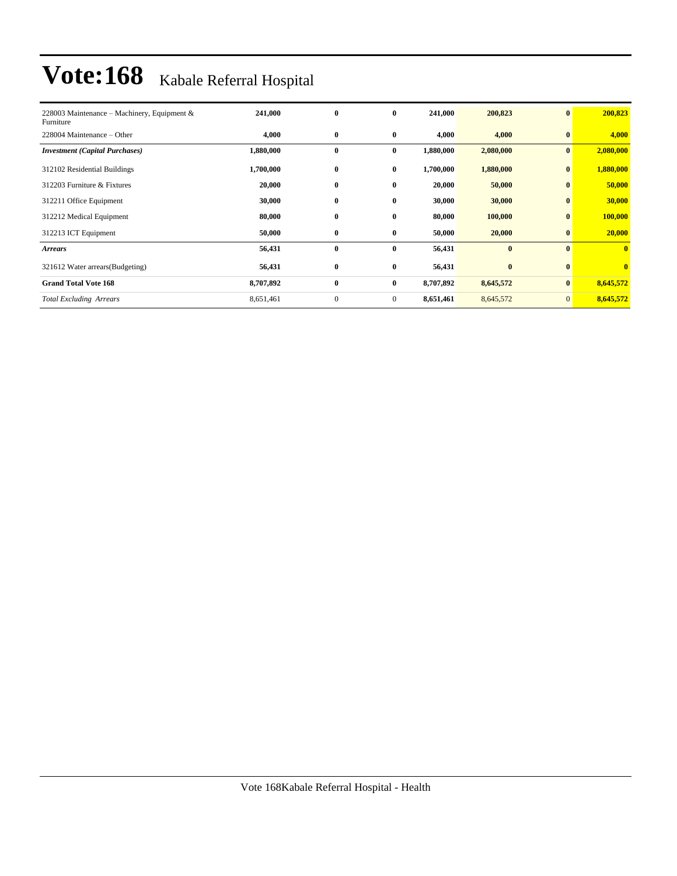| 228003 Maintenance – Machinery, Equipment &<br>Furniture | 241,000   | $\bf{0}$     | $\bf{0}$       | 241,000   | 200,823   | $\bf{0}$       | 200,823                 |
|----------------------------------------------------------|-----------|--------------|----------------|-----------|-----------|----------------|-------------------------|
| 228004 Maintenance – Other                               | 4,000     | $\bf{0}$     | $\bf{0}$       | 4,000     | 4,000     | $\bf{0}$       | 4,000                   |
| <b>Investment</b> (Capital Purchases)                    | 1,880,000 | $\bf{0}$     | $\bf{0}$       | 1,880,000 | 2,080,000 | $\bf{0}$       | 2,080,000               |
| 312102 Residential Buildings                             | 1,700,000 | $\bf{0}$     | $\bf{0}$       | 1,700,000 | 1,880,000 | $\bf{0}$       | 1,880,000               |
| 312203 Furniture & Fixtures                              | 20,000    | $\bf{0}$     | $\bf{0}$       | 20,000    | 50,000    | $\mathbf{0}$   | 50,000                  |
| 312211 Office Equipment                                  | 30,000    | $\bf{0}$     | $\bf{0}$       | 30,000    | 30,000    | $\bf{0}$       | 30,000                  |
| 312212 Medical Equipment                                 | 80,000    | $\bf{0}$     | $\bf{0}$       | 80,000    | 100,000   | $\bf{0}$       | 100,000                 |
| 312213 ICT Equipment                                     | 50,000    | $\bf{0}$     | $\bf{0}$       | 50,000    | 20,000    | $\bf{0}$       | 20,000                  |
| <b>Arrears</b>                                           | 56,431    | $\bf{0}$     | $\bf{0}$       | 56,431    | $\bf{0}$  | $\bf{0}$       | $\mathbf{0}$            |
| 321612 Water arrears(Budgeting)                          | 56,431    | $\bf{0}$     | $\bf{0}$       | 56,431    | $\bf{0}$  | $\bf{0}$       | $\overline{\mathbf{0}}$ |
| <b>Grand Total Vote 168</b>                              | 8,707,892 | $\bf{0}$     | $\bf{0}$       | 8,707,892 | 8,645,572 | $\bf{0}$       | 8,645,572               |
| <b>Total Excluding Arrears</b>                           | 8,651,461 | $\mathbf{0}$ | $\overline{0}$ | 8,651,461 | 8,645,572 | $\overline{0}$ | 8,645,572               |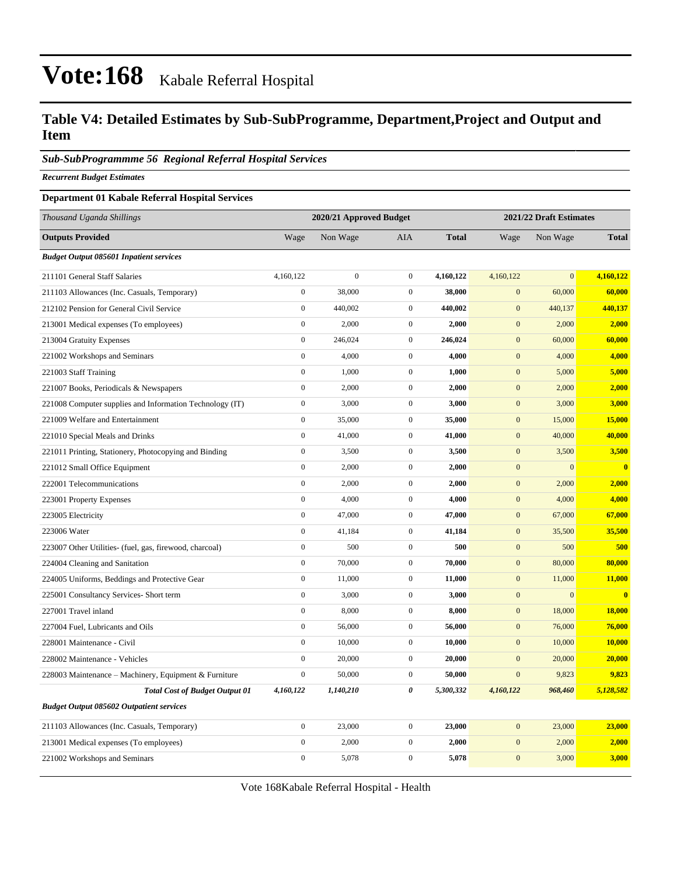### **Table V4: Detailed Estimates by Sub-SubProgramme, Department,Project and Output and Item**

#### *Sub-SubProgrammme 56 Regional Referral Hospital Services*

*Recurrent Budget Estimates*

#### **Department 01 Kabale Referral Hospital Services**

| Thousand Uganda Shillings                                |                  | 2020/21 Approved Budget<br>2021/22 Draft Estimates |                  |              |                  |                |              |
|----------------------------------------------------------|------------------|----------------------------------------------------|------------------|--------------|------------------|----------------|--------------|
| <b>Outputs Provided</b>                                  | Wage             | Non Wage                                           | <b>AIA</b>       | <b>Total</b> | Wage             | Non Wage       | <b>Total</b> |
| <b>Budget Output 085601 Inpatient services</b>           |                  |                                                    |                  |              |                  |                |              |
| 211101 General Staff Salaries                            | 4,160,122        | $\overline{0}$                                     | $\boldsymbol{0}$ | 4,160,122    | 4,160,122        | $\overline{0}$ | 4,160,122    |
| 211103 Allowances (Inc. Casuals, Temporary)              | $\boldsymbol{0}$ | 38,000                                             | $\mathbf{0}$     | 38,000       | $\mathbf{0}$     | 60,000         | 60,000       |
| 212102 Pension for General Civil Service                 | $\boldsymbol{0}$ | 440,002                                            | $\mathbf{0}$     | 440,002      | $\mathbf{0}$     | 440,137        | 440,137      |
| 213001 Medical expenses (To employees)                   | $\boldsymbol{0}$ | 2,000                                              | $\mathbf{0}$     | 2,000        | $\mathbf{0}$     | 2,000          | 2,000        |
| 213004 Gratuity Expenses                                 | $\boldsymbol{0}$ | 246,024                                            | $\boldsymbol{0}$ | 246,024      | $\boldsymbol{0}$ | 60,000         | 60,000       |
| 221002 Workshops and Seminars                            | $\boldsymbol{0}$ | 4,000                                              | $\mathbf{0}$     | 4,000        | $\mathbf{0}$     | 4,000          | 4,000        |
| 221003 Staff Training                                    | $\boldsymbol{0}$ | 1,000                                              | $\mathbf{0}$     | 1,000        | $\mathbf{0}$     | 5,000          | 5,000        |
| 221007 Books, Periodicals & Newspapers                   | $\mathbf{0}$     | 2,000                                              | $\boldsymbol{0}$ | 2,000        | $\boldsymbol{0}$ | 2,000          | 2,000        |
| 221008 Computer supplies and Information Technology (IT) | $\boldsymbol{0}$ | 3,000                                              | $\mathbf{0}$     | 3,000        | $\mathbf{0}$     | 3,000          | 3,000        |
| 221009 Welfare and Entertainment                         | $\boldsymbol{0}$ | 35,000                                             | $\mathbf{0}$     | 35,000       | $\boldsymbol{0}$ | 15,000         | 15,000       |
| 221010 Special Meals and Drinks                          | $\mathbf{0}$     | 41,000                                             | $\boldsymbol{0}$ | 41,000       | $\boldsymbol{0}$ | 40,000         | 40,000       |
| 221011 Printing, Stationery, Photocopying and Binding    | $\boldsymbol{0}$ | 3,500                                              | $\boldsymbol{0}$ | 3,500        | $\mathbf{0}$     | 3,500          | 3,500        |
| 221012 Small Office Equipment                            | $\boldsymbol{0}$ | 2,000                                              | $\boldsymbol{0}$ | 2,000        | $\boldsymbol{0}$ | $\mathbf{0}$   | $\bf{0}$     |
| 222001 Telecommunications                                | $\boldsymbol{0}$ | 2,000                                              | $\mathbf{0}$     | 2,000        | $\mathbf{0}$     | 2,000          | 2,000        |
| 223001 Property Expenses                                 | $\boldsymbol{0}$ | 4,000                                              | $\mathbf{0}$     | 4,000        | $\mathbf{0}$     | 4,000          | 4,000        |
| 223005 Electricity                                       | $\boldsymbol{0}$ | 47,000                                             | $\boldsymbol{0}$ | 47,000       | $\boldsymbol{0}$ | 67,000         | 67,000       |
| 223006 Water                                             | $\boldsymbol{0}$ | 41,184                                             | $\mathbf{0}$     | 41,184       | $\mathbf{0}$     | 35,500         | 35,500       |
| 223007 Other Utilities- (fuel, gas, firewood, charcoal)  | $\boldsymbol{0}$ | 500                                                | $\mathbf{0}$     | 500          | $\boldsymbol{0}$ | 500            | 500          |
| 224004 Cleaning and Sanitation                           | $\boldsymbol{0}$ | 70,000                                             | $\mathbf{0}$     | 70,000       | $\boldsymbol{0}$ | 80,000         | 80,000       |
| 224005 Uniforms, Beddings and Protective Gear            | $\boldsymbol{0}$ | 11,000                                             | $\mathbf{0}$     | 11,000       | $\mathbf{0}$     | 11,000         | 11,000       |
| 225001 Consultancy Services- Short term                  | $\boldsymbol{0}$ | 3,000                                              | $\mathbf{0}$     | 3,000        | $\mathbf{0}$     | $\overline{0}$ | $\bf{0}$     |
| 227001 Travel inland                                     | $\mathbf{0}$     | 8,000                                              | $\boldsymbol{0}$ | 8,000        | $\boldsymbol{0}$ | 18,000         | 18,000       |
| 227004 Fuel, Lubricants and Oils                         | $\boldsymbol{0}$ | 56,000                                             | $\mathbf{0}$     | 56,000       | $\mathbf{0}$     | 76,000         | 76,000       |
| 228001 Maintenance - Civil                               | $\boldsymbol{0}$ | 10,000                                             | $\mathbf{0}$     | 10,000       | $\mathbf{0}$     | 10,000         | 10,000       |
| 228002 Maintenance - Vehicles                            | $\mathbf{0}$     | 20,000                                             | $\mathbf{0}$     | 20,000       | $\overline{0}$   | 20,000         | 20,000       |
| 228003 Maintenance – Machinery, Equipment & Furniture    | $\boldsymbol{0}$ | 50,000                                             | $\mathbf{0}$     | 50,000       | $\mathbf{0}$     | 9,823          | 9,823        |
| <b>Total Cost of Budget Output 01</b>                    | 4,160,122        | 1,140,210                                          | 0                | 5,300,332    | 4,160,122        | 968,460        | 5,128,582    |
| <b>Budget Output 085602 Outpatient services</b>          |                  |                                                    |                  |              |                  |                |              |
| 211103 Allowances (Inc. Casuals, Temporary)              | $\boldsymbol{0}$ | 23,000                                             | $\mathbf{0}$     | 23,000       | $\mathbf{0}$     | 23,000         | 23,000       |
| 213001 Medical expenses (To employees)                   | $\boldsymbol{0}$ | 2,000                                              | $\mathbf{0}$     | 2,000        | $\boldsymbol{0}$ | 2,000          | 2,000        |
| 221002 Workshops and Seminars                            | $\mathbf{0}$     | 5,078                                              | $\mathbf{0}$     | 5,078        | $\mathbf{0}$     | 3,000          | <b>3,000</b> |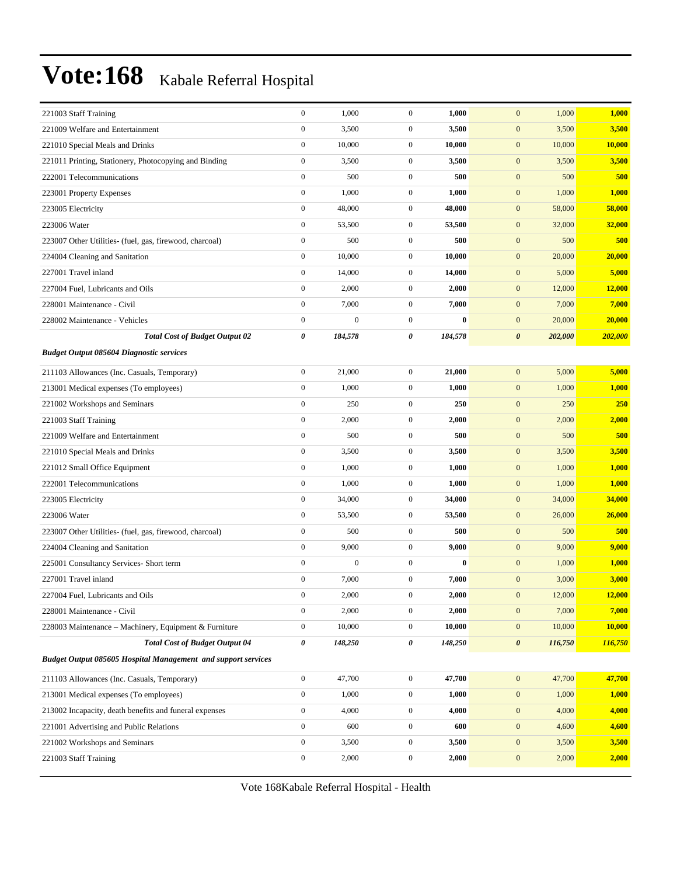| 221003 Staff Training                                                | $\boldsymbol{0}$ | 1,000            | $\boldsymbol{0}$ | 1,000    | $\mathbf{0}$<br>1,000            | 1,000   |
|----------------------------------------------------------------------|------------------|------------------|------------------|----------|----------------------------------|---------|
| 221009 Welfare and Entertainment                                     | $\overline{0}$   | 3,500            | $\boldsymbol{0}$ | 3,500    | $\mathbf{0}$<br>3,500            | 3,500   |
| 221010 Special Meals and Drinks                                      | $\overline{0}$   | 10,000           | $\overline{0}$   | 10,000   | $\boldsymbol{0}$<br>10,000       | 10,000  |
| 221011 Printing, Stationery, Photocopying and Binding                | $\overline{0}$   | 3,500            | $\boldsymbol{0}$ | 3,500    | $\mathbf{0}$<br>3,500            | 3,500   |
| 222001 Telecommunications                                            | $\boldsymbol{0}$ | 500              | $\mathbf{0}$     | 500      | $\mathbf{0}$<br>500              | 500     |
| 223001 Property Expenses                                             | $\overline{0}$   | 1,000            | $\mathbf{0}$     | 1,000    | $\mathbf{0}$<br>1,000            | 1,000   |
| 223005 Electricity                                                   | $\overline{0}$   | 48,000           | $\mathbf{0}$     | 48,000   | $\boldsymbol{0}$<br>58,000       | 58,000  |
| 223006 Water                                                         | $\boldsymbol{0}$ | 53,500           | $\mathbf{0}$     | 53,500   | $\boldsymbol{0}$<br>32,000       | 32,000  |
| 223007 Other Utilities- (fuel, gas, firewood, charcoal)              | $\overline{0}$   | 500              | $\boldsymbol{0}$ | 500      | $\boldsymbol{0}$<br>500          | 500     |
| 224004 Cleaning and Sanitation                                       | $\mathbf{0}$     | 10,000           | $\mathbf{0}$     | 10,000   | $\mathbf{0}$<br>20,000           | 20,000  |
| 227001 Travel inland                                                 | $\overline{0}$   | 14,000           | $\boldsymbol{0}$ | 14,000   | $\mathbf{0}$<br>5,000            | 5,000   |
| 227004 Fuel, Lubricants and Oils                                     | $\overline{0}$   | 2,000            | $\mathbf{0}$     | 2,000    | $\boldsymbol{0}$<br>12,000       | 12,000  |
| 228001 Maintenance - Civil                                           | $\overline{0}$   | 7,000            | $\mathbf{0}$     | 7,000    | $\mathbf{0}$<br>7,000            | 7,000   |
| 228002 Maintenance - Vehicles                                        | $\boldsymbol{0}$ | $\boldsymbol{0}$ | $\boldsymbol{0}$ | $\bf{0}$ | $\boldsymbol{0}$<br>20,000       | 20,000  |
| <b>Total Cost of Budget Output 02</b>                                | 0                | 184,578          | 0                | 184,578  | $\pmb{\theta}$<br>202,000        | 202,000 |
| <b>Budget Output 085604 Diagnostic services</b>                      |                  |                  |                  |          |                                  |         |
| 211103 Allowances (Inc. Casuals, Temporary)                          | $\boldsymbol{0}$ | 21,000           | $\boldsymbol{0}$ | 21,000   | $\mathbf{0}$<br>5,000            | 5,000   |
| 213001 Medical expenses (To employees)                               | $\overline{0}$   | 1,000            | $\overline{0}$   | 1,000    | $\mathbf{0}$<br>1,000            | 1,000   |
| 221002 Workshops and Seminars                                        | $\overline{0}$   | 250              | $\mathbf{0}$     | 250      | $\mathbf{0}$<br>250              | 250     |
| 221003 Staff Training                                                | $\overline{0}$   | 2,000            | $\boldsymbol{0}$ | 2,000    | $\boldsymbol{0}$<br>2,000        | 2,000   |
| 221009 Welfare and Entertainment                                     | $\boldsymbol{0}$ | 500              | $\boldsymbol{0}$ | 500      | $\mathbf{0}$<br>500              | 500     |
| 221010 Special Meals and Drinks                                      | $\boldsymbol{0}$ | 3,500            | $\mathbf{0}$     | 3,500    | $\boldsymbol{0}$<br>3,500        | 3,500   |
| 221012 Small Office Equipment                                        | $\overline{0}$   | 1,000            | $\overline{0}$   | 1,000    | $\boldsymbol{0}$<br>1,000        | 1,000   |
| 222001 Telecommunications                                            | $\boldsymbol{0}$ | 1,000            | $\mathbf{0}$     | 1,000    | $\mathbf{0}$<br>1,000            | 1,000   |
| 223005 Electricity                                                   | $\boldsymbol{0}$ | 34,000           | $\boldsymbol{0}$ | 34,000   | $\boldsymbol{0}$<br>34,000       | 34,000  |
| 223006 Water                                                         | $\boldsymbol{0}$ | 53,500           | $\boldsymbol{0}$ | 53,500   | $\mathbf{0}$<br>26,000           | 26,000  |
| 223007 Other Utilities- (fuel, gas, firewood, charcoal)              | $\boldsymbol{0}$ | 500              | $\overline{0}$   | 500      | $\boldsymbol{0}$<br>500          | 500     |
| 224004 Cleaning and Sanitation                                       | $\overline{0}$   | 9,000            | $\mathbf{0}$     | 9,000    | $\mathbf{0}$<br>9,000            | 9,000   |
| 225001 Consultancy Services- Short term                              | $\overline{0}$   | $\boldsymbol{0}$ | $\boldsymbol{0}$ | 0        | $\mathbf{0}$<br>1,000            | 1,000   |
| 227001 Travel inland                                                 | $\boldsymbol{0}$ | 7,000            | $\boldsymbol{0}$ | 7,000    | $\boldsymbol{0}$<br>3,000        | 3,000   |
| 227004 Fuel, Lubricants and Oils                                     | $\mathbf{0}$     | 2,000            | $\mathbf{0}$     | 2,000    | $\mathbf{0}$<br>12,000           | 12,000  |
| 228001 Maintenance - Civil                                           | $\boldsymbol{0}$ | 2,000            | $\boldsymbol{0}$ | 2,000    | $\boldsymbol{0}$<br>7,000        | 7,000   |
| 228003 Maintenance - Machinery, Equipment & Furniture                | $\boldsymbol{0}$ | 10,000           | $\mathbf{0}$     | 10,000   | $\boldsymbol{0}$<br>10,000       | 10,000  |
| <b>Total Cost of Budget Output 04</b>                                | 0                | 148,250          | 0                | 148,250  | $\boldsymbol{\theta}$<br>116,750 | 116,750 |
| <b>Budget Output 085605 Hospital Management and support services</b> |                  |                  |                  |          |                                  |         |
| 211103 Allowances (Inc. Casuals, Temporary)                          | $\boldsymbol{0}$ | 47,700           | $\mathbf{0}$     | 47,700   | $\boldsymbol{0}$<br>47,700       | 47,700  |
| 213001 Medical expenses (To employees)                               | $\boldsymbol{0}$ | 1,000            | $\mathbf{0}$     | 1,000    | $\mathbf{0}$<br>1,000            | 1,000   |
| 213002 Incapacity, death benefits and funeral expenses               | $\boldsymbol{0}$ | 4,000            | $\boldsymbol{0}$ | 4,000    | $\boldsymbol{0}$<br>4,000        | 4,000   |
| 221001 Advertising and Public Relations                              | $\overline{0}$   | 600              | $\boldsymbol{0}$ | 600      | $\mathbf{0}$<br>4,600            | 4,600   |
| 221002 Workshops and Seminars                                        | $\boldsymbol{0}$ | 3,500            | $\boldsymbol{0}$ | 3,500    | $\mathbf{0}$<br>3,500            | 3,500   |
| 221003 Staff Training                                                | $\boldsymbol{0}$ | 2,000            | $\boldsymbol{0}$ | 2,000    | $\mathbf{0}$<br>2,000            | 2,000   |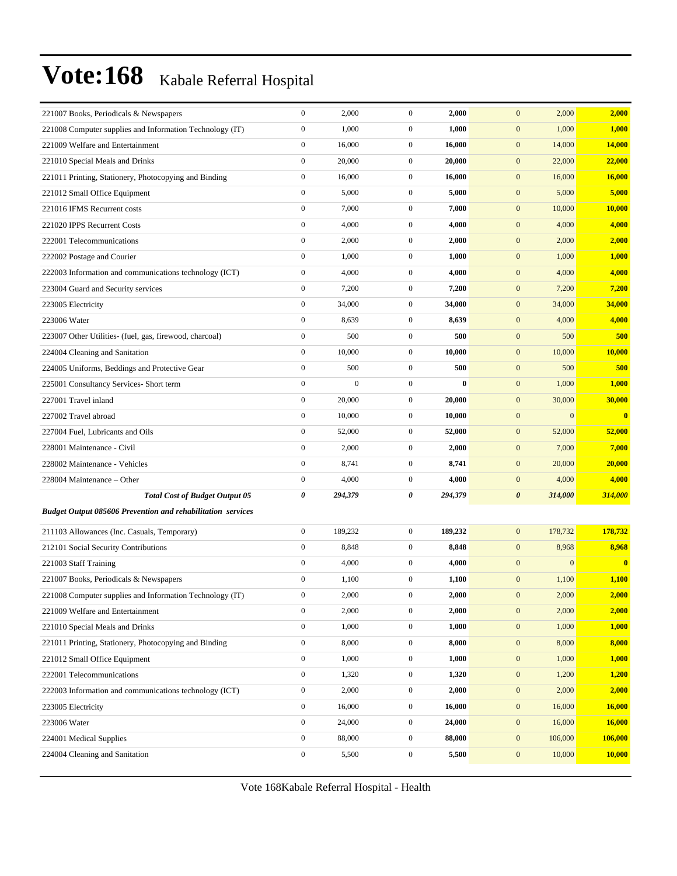| 221007 Books, Periodicals & Newspapers                             | $\boldsymbol{0}$ | 2,000            | $\boldsymbol{0}$ | 2,000    | $\mathbf{0}$<br>2,000            | 2,000                   |
|--------------------------------------------------------------------|------------------|------------------|------------------|----------|----------------------------------|-------------------------|
| 221008 Computer supplies and Information Technology (IT)           | $\overline{0}$   | 1,000            | $\boldsymbol{0}$ | 1,000    | $\boldsymbol{0}$<br>1,000        | 1,000                   |
| 221009 Welfare and Entertainment                                   | $\boldsymbol{0}$ | 16,000           | $\boldsymbol{0}$ | 16,000   | $\mathbf{0}$<br>14,000           | 14,000                  |
| 221010 Special Meals and Drinks                                    | $\boldsymbol{0}$ | 20,000           | $\boldsymbol{0}$ | 20,000   | $\boldsymbol{0}$<br>22,000       | 22,000                  |
| 221011 Printing, Stationery, Photocopying and Binding              | $\boldsymbol{0}$ | 16,000           | $\mathbf{0}$     | 16,000   | $\mathbf{0}$<br>16,000           | 16,000                  |
| 221012 Small Office Equipment                                      | $\boldsymbol{0}$ | 5,000            | $\boldsymbol{0}$ | 5,000    | $\mathbf{0}$<br>5,000            | 5,000                   |
| 221016 IFMS Recurrent costs                                        | $\boldsymbol{0}$ | 7,000            | $\mathbf{0}$     | 7,000    | $\mathbf{0}$<br>10,000           | 10,000                  |
| 221020 IPPS Recurrent Costs                                        | $\boldsymbol{0}$ | 4,000            | $\boldsymbol{0}$ | 4,000    | $\mathbf{0}$<br>4,000            | 4,000                   |
| 222001 Telecommunications                                          | $\boldsymbol{0}$ | 2,000            | $\boldsymbol{0}$ | 2,000    | $\boldsymbol{0}$<br>2,000        | 2,000                   |
| 222002 Postage and Courier                                         | $\boldsymbol{0}$ | 1,000            | $\boldsymbol{0}$ | 1,000    | $\mathbf{0}$<br>1,000            | 1,000                   |
| 222003 Information and communications technology (ICT)             | $\boldsymbol{0}$ | 4,000            | $\boldsymbol{0}$ | 4,000    | $\mathbf{0}$<br>4,000            | 4,000                   |
| 223004 Guard and Security services                                 | $\boldsymbol{0}$ | 7,200            | $\mathbf{0}$     | 7,200    | $\mathbf{0}$<br>7,200            | 7,200                   |
| 223005 Electricity                                                 | $\boldsymbol{0}$ | 34,000           | $\boldsymbol{0}$ | 34,000   | $\mathbf{0}$<br>34,000           | 34,000                  |
| 223006 Water                                                       | $\boldsymbol{0}$ | 8,639            | $\boldsymbol{0}$ | 8,639    | $\boldsymbol{0}$<br>4,000        | 4,000                   |
| 223007 Other Utilities- (fuel, gas, firewood, charcoal)            | $\boldsymbol{0}$ | 500              | $\boldsymbol{0}$ | 500      | $\mathbf{0}$<br>500              | 500                     |
| 224004 Cleaning and Sanitation                                     | $\boldsymbol{0}$ | 10,000           | $\boldsymbol{0}$ | 10,000   | $\mathbf{0}$<br>10,000           | 10,000                  |
| 224005 Uniforms, Beddings and Protective Gear                      | $\mathbf{0}$     | 500              | $\boldsymbol{0}$ | 500      | $\boldsymbol{0}$<br>500          | 500                     |
| 225001 Consultancy Services- Short term                            | $\boldsymbol{0}$ | $\boldsymbol{0}$ | $\boldsymbol{0}$ | $\bf{0}$ | $\mathbf{0}$<br>1,000            | 1,000                   |
| 227001 Travel inland                                               | $\boldsymbol{0}$ | 20,000           | $\boldsymbol{0}$ | 20,000   | $\boldsymbol{0}$<br>30,000       | 30,000                  |
| 227002 Travel abroad                                               | $\boldsymbol{0}$ | 10,000           | $\boldsymbol{0}$ | 10,000   | $\mathbf{0}$<br>$\mathbf{0}$     | $\overline{\mathbf{0}}$ |
| 227004 Fuel, Lubricants and Oils                                   | $\boldsymbol{0}$ | 52,000           | $\boldsymbol{0}$ | 52,000   | $\mathbf{0}$<br>52,000           | 52,000                  |
| 228001 Maintenance - Civil                                         | $\boldsymbol{0}$ | 2,000            | $\mathbf{0}$     | 2,000    | $\boldsymbol{0}$<br>7,000        | 7,000                   |
| 228002 Maintenance - Vehicles                                      | $\boldsymbol{0}$ | 8,741            | $\mathbf{0}$     | 8,741    | $\mathbf{0}$<br>20,000           | 20,000                  |
| 228004 Maintenance - Other                                         | $\boldsymbol{0}$ | 4,000            | $\overline{0}$   | 4,000    | $\boldsymbol{0}$<br>4,000        | 4,000                   |
| <b>Total Cost of Budget Output 05</b>                              | 0                | 294,379          | 0                | 294,379  | 314,000<br>$\boldsymbol{\theta}$ | 314,000                 |
| <b>Budget Output 085606 Prevention and rehabilitation services</b> |                  |                  |                  |          |                                  |                         |
| 211103 Allowances (Inc. Casuals, Temporary)                        | $\boldsymbol{0}$ | 189,232          | $\boldsymbol{0}$ | 189,232  | $\mathbf{0}$<br>178,732          | 178,732                 |
| 212101 Social Security Contributions                               | $\boldsymbol{0}$ | 8,848            | $\mathbf{0}$     | 8,848    | 8,968<br>$\mathbf{0}$            | 8,968                   |
| 221003 Staff Training                                              | $\boldsymbol{0}$ | 4,000            | $\mathbf{0}$     | 4,000    | $\mathbf{0}$<br>$\mathbf{0}$     | $\overline{0}$          |
| 221007 Books, Periodicals & Newspapers                             | $\boldsymbol{0}$ | 1,100            | $\boldsymbol{0}$ | 1,100    | $\boldsymbol{0}$<br>1,100        | 1,100                   |
| 221008 Computer supplies and Information Technology (IT)           | $\Omega$         | 2,000            | $\mathbf{0}$     | 2,000    | $\mathbf{0}$<br>2,000            | 2,000                   |
| 221009 Welfare and Entertainment                                   | $\boldsymbol{0}$ | 2,000            | $\boldsymbol{0}$ | 2,000    | $\boldsymbol{0}$<br>2,000        | 2,000                   |
| 221010 Special Meals and Drinks                                    | $\boldsymbol{0}$ | 1,000            | $\boldsymbol{0}$ | 1,000    | $\boldsymbol{0}$<br>1,000        | 1,000                   |
| 221011 Printing, Stationery, Photocopying and Binding              | $\boldsymbol{0}$ | 8,000            | $\boldsymbol{0}$ | 8,000    | $\boldsymbol{0}$<br>8,000        | 8,000                   |
| 221012 Small Office Equipment                                      | $\boldsymbol{0}$ | 1,000            | $\boldsymbol{0}$ | 1,000    | $\boldsymbol{0}$<br>1,000        | 1,000                   |
| 222001 Telecommunications                                          | $\boldsymbol{0}$ | 1,320            | $\boldsymbol{0}$ | 1,320    | $\boldsymbol{0}$<br>1,200        | 1,200                   |
| 222003 Information and communications technology (ICT)             | $\boldsymbol{0}$ | 2,000            | $\boldsymbol{0}$ | 2,000    | $\boldsymbol{0}$<br>2,000        | 2,000                   |
| 223005 Electricity                                                 | $\boldsymbol{0}$ | 16,000           | $\boldsymbol{0}$ | 16,000   | $\boldsymbol{0}$<br>16,000       | 16,000                  |
| 223006 Water                                                       | $\boldsymbol{0}$ | 24,000           | $\boldsymbol{0}$ | 24,000   | $\boldsymbol{0}$<br>16,000       | 16,000                  |
| 224001 Medical Supplies                                            | $\boldsymbol{0}$ | 88,000           | $\boldsymbol{0}$ | 88,000   | $\boldsymbol{0}$<br>106,000      | 106,000                 |
| 224004 Cleaning and Sanitation                                     | $\boldsymbol{0}$ | 5,500            | $\boldsymbol{0}$ | 5,500    | 10,000<br>$\boldsymbol{0}$       | 10,000                  |
|                                                                    |                  |                  |                  |          |                                  |                         |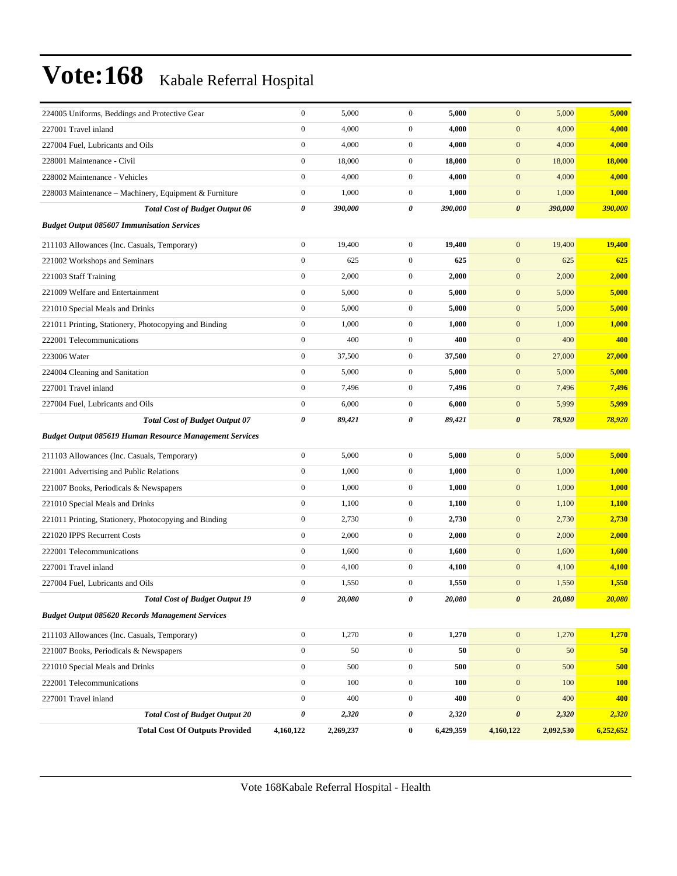| 224005 Uniforms, Beddings and Protective Gear                  | $\boldsymbol{0}$ | 5,000      | $\mathbf{0}$     | 5,000     | $\mathbf{0}$          | 5,000     | 5,000         |
|----------------------------------------------------------------|------------------|------------|------------------|-----------|-----------------------|-----------|---------------|
| 227001 Travel inland                                           | $\boldsymbol{0}$ | 4,000      | $\boldsymbol{0}$ | 4,000     | $\mathbf{0}$          | 4,000     | 4,000         |
| 227004 Fuel, Lubricants and Oils                               | $\boldsymbol{0}$ | 4,000      | $\mathbf{0}$     | 4,000     | $\mathbf{0}$          | 4,000     | 4,000         |
| 228001 Maintenance - Civil                                     | $\boldsymbol{0}$ | 18,000     | $\mathbf{0}$     | 18,000    | $\mathbf{0}$          | 18,000    | <b>18,000</b> |
| 228002 Maintenance - Vehicles                                  | $\boldsymbol{0}$ | 4,000      | $\mathbf{0}$     | 4,000     | $\mathbf{0}$          | 4,000     | 4,000         |
| 228003 Maintenance - Machinery, Equipment & Furniture          | $\boldsymbol{0}$ | 1,000      | $\mathbf{0}$     | 1,000     | $\mathbf{0}$          | 1,000     | 1,000         |
| <b>Total Cost of Budget Output 06</b>                          | 0                | 390,000    | 0                | 390,000   | $\boldsymbol{\theta}$ | 390,000   | 390,000       |
| <b>Budget Output 085607 Immunisation Services</b>              |                  |            |                  |           |                       |           |               |
| 211103 Allowances (Inc. Casuals, Temporary)                    | $\boldsymbol{0}$ | 19,400     | $\mathbf{0}$     | 19,400    | $\mathbf{0}$          | 19,400    | 19,400        |
| 221002 Workshops and Seminars                                  | $\boldsymbol{0}$ | 625        | $\boldsymbol{0}$ | 625       | $\mathbf{0}$          | 625       | 625           |
| 221003 Staff Training                                          | $\boldsymbol{0}$ | 2,000      | $\mathbf{0}$     | 2,000     | $\mathbf{0}$          | 2,000     | 2,000         |
| 221009 Welfare and Entertainment                               | $\boldsymbol{0}$ | 5,000      | $\boldsymbol{0}$ | 5,000     | $\mathbf{0}$          | 5,000     | 5,000         |
| 221010 Special Meals and Drinks                                | $\boldsymbol{0}$ | 5,000      | $\mathbf{0}$     | 5,000     | $\mathbf{0}$          | 5,000     | 5,000         |
| 221011 Printing, Stationery, Photocopying and Binding          | $\boldsymbol{0}$ | 1,000      | $\mathbf{0}$     | 1,000     | $\mathbf{0}$          | 1,000     | 1,000         |
| 222001 Telecommunications                                      | $\boldsymbol{0}$ | 400        | $\mathbf{0}$     | 400       | $\mathbf{0}$          | 400       | 400           |
| 223006 Water                                                   | $\boldsymbol{0}$ | 37,500     | $\mathbf{0}$     | 37,500    | $\mathbf{0}$          | 27,000    | 27,000        |
| 224004 Cleaning and Sanitation                                 | $\boldsymbol{0}$ | 5,000      | $\boldsymbol{0}$ | 5,000     | $\mathbf{0}$          | 5,000     | 5,000         |
| 227001 Travel inland                                           | $\boldsymbol{0}$ | 7,496      | $\mathbf{0}$     | 7,496     | $\mathbf{0}$          | 7,496     | 7,496         |
| 227004 Fuel, Lubricants and Oils                               | $\boldsymbol{0}$ | 6,000      | $\mathbf{0}$     | 6,000     | $\mathbf{0}$          | 5,999     | 5,999         |
| <b>Total Cost of Budget Output 07</b>                          | 0                | 89,421     | 0                | 89,421    | $\boldsymbol{\theta}$ | 78,920    | 78,920        |
| <b>Budget Output 085619 Human Resource Management Services</b> |                  |            |                  |           |                       |           |               |
| 211103 Allowances (Inc. Casuals, Temporary)                    | $\boldsymbol{0}$ | 5,000      | $\mathbf{0}$     | 5,000     | $\mathbf{0}$          | 5,000     | 5,000         |
| 221001 Advertising and Public Relations                        | $\boldsymbol{0}$ | 1,000      | $\boldsymbol{0}$ | 1,000     | $\mathbf{0}$          | 1,000     | 1,000         |
| 221007 Books, Periodicals & Newspapers                         | $\boldsymbol{0}$ | 1,000      | $\boldsymbol{0}$ | 1,000     | $\mathbf{0}$          | 1,000     | 1,000         |
| 221010 Special Meals and Drinks                                | $\boldsymbol{0}$ | 1,100      | $\mathbf{0}$     | 1,100     | $\mathbf{0}$          | 1,100     | 1,100         |
| 221011 Printing, Stationery, Photocopying and Binding          | $\boldsymbol{0}$ | 2,730      | $\mathbf{0}$     | 2,730     | $\mathbf{0}$          | 2,730     | 2,730         |
| 221020 IPPS Recurrent Costs                                    | $\boldsymbol{0}$ | 2,000      | $\mathbf{0}$     | 2,000     | $\mathbf{0}$          | 2,000     | 2,000         |
| 222001 Telecommunications                                      | $\boldsymbol{0}$ | 1,600      | $\boldsymbol{0}$ | 1,600     | $\mathbf{0}$          | 1,600     | 1,600         |
| 227001 Travel inland                                           | $\boldsymbol{0}$ | 4,100      | $\boldsymbol{0}$ | 4,100     | $\mathbf{0}$          | 4,100     | 4,100         |
| 227004 Fuel, Lubricants and Oils                               | $\boldsymbol{0}$ | 1,550      | $\mathbf{0}$     | 1,550     | $\mathbf{0}$          | 1,550     | 1,550         |
| <b>Total Cost of Budget Output 19</b>                          | 0                | $20,\!080$ | 0                | 20,080    | $\boldsymbol{\theta}$ | 20,080    | 20,080        |
| <b>Budget Output 085620 Records Management Services</b>        |                  |            |                  |           |                       |           |               |
| 211103 Allowances (Inc. Casuals, Temporary)                    | $\boldsymbol{0}$ | 1,270      | $\mathbf{0}$     | 1,270     | $\mathbf{0}$          | 1,270     | 1,270         |
| 221007 Books, Periodicals & Newspapers                         | $\boldsymbol{0}$ | 50         | $\boldsymbol{0}$ | 50        | $\mathbf{0}$          | 50        | 50            |
| 221010 Special Meals and Drinks                                | $\boldsymbol{0}$ | 500        | $\boldsymbol{0}$ | 500       | $\mathbf{0}$          | 500       | 500           |
| 222001 Telecommunications                                      | $\boldsymbol{0}$ | 100        | $\boldsymbol{0}$ | 100       | $\boldsymbol{0}$      | 100       | <b>100</b>    |
| 227001 Travel inland                                           | $\boldsymbol{0}$ | 400        | $\boldsymbol{0}$ | 400       | $\mathbf{0}$          | 400       | 400           |
| <b>Total Cost of Budget Output 20</b>                          | 0                | 2,320      | 0                | 2,320     | $\pmb{\theta}$        | 2,320     | 2,320         |
| <b>Total Cost Of Outputs Provided</b>                          | 4,160,122        | 2,269,237  | $\bf{0}$         | 6,429,359 | 4,160,122             | 2,092,530 | 6,252,652     |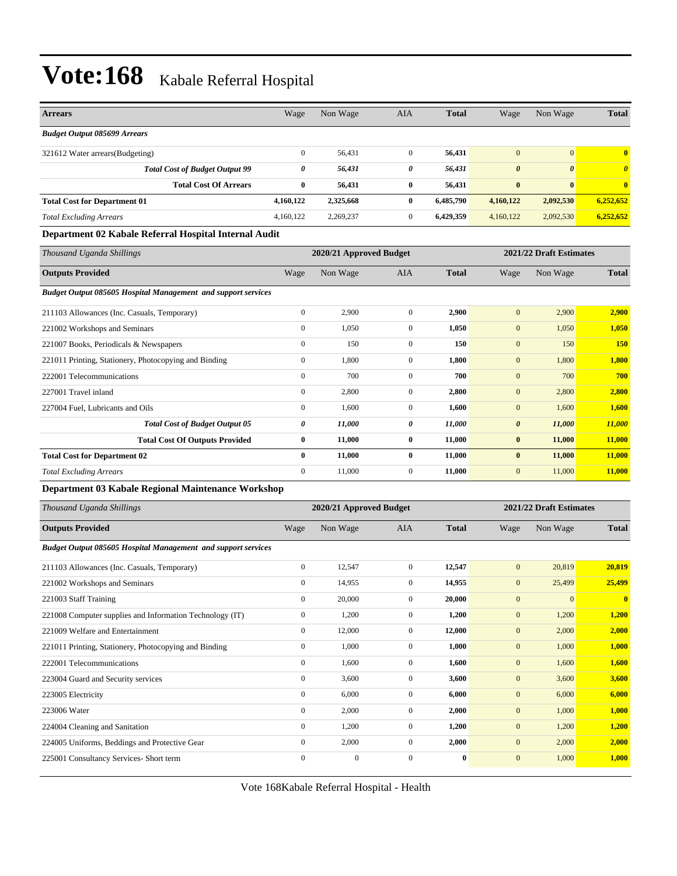| <b>Arrears</b>                                                       | Wage             | Non Wage                | <b>AIA</b>       | <b>Total</b> | Wage                    | Non Wage                | <b>Total</b>          |
|----------------------------------------------------------------------|------------------|-------------------------|------------------|--------------|-------------------------|-------------------------|-----------------------|
| <b>Budget Output 085699 Arrears</b>                                  |                  |                         |                  |              |                         |                         |                       |
| 321612 Water arrears(Budgeting)                                      | $\boldsymbol{0}$ | 56,431                  | $\mathbf{0}$     | 56,431       | $\mathbf{0}$            | $\mathbf{0}$            | $\bf{0}$              |
| <b>Total Cost of Budget Output 99</b>                                | 0                | 56,431                  | 0                | 56,431       | $\boldsymbol{\theta}$   | $\boldsymbol{\theta}$   | $\boldsymbol{\theta}$ |
| <b>Total Cost Of Arrears</b>                                         | $\bf{0}$         | 56,431                  | $\bf{0}$         | 56,431       | $\bf{0}$                | $\bf{0}$                | $\bf{0}$              |
| <b>Total Cost for Department 01</b>                                  | 4,160,122        | 2,325,668               | $\bf{0}$         | 6,485,790    | 4,160,122               | 2,092,530               | 6,252,652             |
| <b>Total Excluding Arrears</b>                                       | 4,160,122        | 2,269,237               | $\mathbf{0}$     | 6,429,359    | 4,160,122               | 2,092,530               | 6,252,652             |
| Department 02 Kabale Referral Hospital Internal Audit                |                  |                         |                  |              |                         |                         |                       |
| Thousand Uganda Shillings                                            |                  | 2020/21 Approved Budget |                  |              |                         | 2021/22 Draft Estimates |                       |
| <b>Outputs Provided</b>                                              | Wage             | Non Wage                | <b>AIA</b>       | <b>Total</b> | Wage                    | Non Wage                | <b>Total</b>          |
| <b>Budget Output 085605 Hospital Management and support services</b> |                  |                         |                  |              |                         |                         |                       |
| 211103 Allowances (Inc. Casuals, Temporary)                          | $\boldsymbol{0}$ | 2,900                   | $\boldsymbol{0}$ | 2,900        | $\mathbf{0}$            | 2,900                   | 2,900                 |
| 221002 Workshops and Seminars                                        | $\boldsymbol{0}$ | 1,050                   | $\mathbf{0}$     | 1,050        | $\boldsymbol{0}$        | 1,050                   | 1,050                 |
| 221007 Books, Periodicals & Newspapers                               | $\boldsymbol{0}$ | 150                     | $\mathbf{0}$     | 150          | $\mathbf{0}$            | 150                     | <b>150</b>            |
| 221011 Printing, Stationery, Photocopying and Binding                | $\boldsymbol{0}$ | 1,800                   | $\mathbf{0}$     | 1,800        | $\mathbf{0}$            | 1,800                   | 1,800                 |
| 222001 Telecommunications                                            | $\boldsymbol{0}$ | 700                     | $\mathbf{0}$     | 700          | $\mathbf{0}$            | 700                     | 700                   |
| 227001 Travel inland                                                 | $\boldsymbol{0}$ | 2,800                   | $\mathbf{0}$     | 2,800        | $\mathbf{0}$            | 2,800                   | 2,800                 |
| 227004 Fuel, Lubricants and Oils                                     | $\boldsymbol{0}$ | 1,600                   | $\mathbf{0}$     | 1,600        | $\boldsymbol{0}$        | 1,600                   | <b>1,600</b>          |
| <b>Total Cost of Budget Output 05</b>                                | 0                | 11,000                  | 0                | 11,000       | $\boldsymbol{\theta}$   | 11,000                  | 11,000                |
| <b>Total Cost Of Outputs Provided</b>                                | 0                | 11,000                  | $\bf{0}$         | 11,000       | $\bf{0}$                | 11,000                  | <b>11,000</b>         |
| <b>Total Cost for Department 02</b>                                  | 0                | 11,000                  | $\bf{0}$         | 11,000       | $\bf{0}$                | 11,000                  | 11,000                |
| <b>Total Excluding Arrears</b>                                       | $\boldsymbol{0}$ | 11,000                  | $\boldsymbol{0}$ | 11,000       | $\mathbf{0}$            | 11,000                  | 11,000                |
| Department 03 Kabale Regional Maintenance Workshop                   |                  |                         |                  |              |                         |                         |                       |
| Thousand Uganda Shillings                                            |                  | 2020/21 Approved Budget |                  |              | 2021/22 Draft Estimates |                         |                       |
| <b>Outputs Provided</b>                                              | Wage             | Non Wage                | AIA              | <b>Total</b> | Wage                    | Non Wage                | <b>Total</b>          |
| Budget Output 085605 Hospital Management and support services        |                  |                         |                  |              |                         |                         |                       |
| 211103 Allowances (Inc. Casuals, Temporary)                          | $\boldsymbol{0}$ | 12,547                  | $\mathbf{0}$     | 12,547       | $\mathbf{0}$            | 20,819                  | 20,819                |
| 221002 Workshops and Seminars                                        | $\boldsymbol{0}$ | 14,955                  | $\mathbf{0}$     | 14,955       | $\mathbf{0}$            | 25,499                  | 25,499                |
| 221003 Staff Training                                                | $\boldsymbol{0}$ | 20,000                  | $\mathbf{0}$     | 20,000       | $\boldsymbol{0}$        | $\mathbf{0}$            | $\boldsymbol{0}$      |
| 221008 Computer supplies and Information Technology (IT)             | $\boldsymbol{0}$ | 1,200                   | $\boldsymbol{0}$ | 1,200        | $\boldsymbol{0}$        | 1,200                   | 1,200                 |
| 221009 Welfare and Entertainment                                     | $\boldsymbol{0}$ | 12,000                  | $\boldsymbol{0}$ | 12,000       | $\boldsymbol{0}$        | 2,000                   | 2,000                 |
| 221011 Printing, Stationery, Photocopying and Binding                | $\boldsymbol{0}$ | 1,000                   | $\boldsymbol{0}$ | 1,000        | $\boldsymbol{0}$        | 1,000                   | 1,000                 |
| 222001 Telecommunications                                            | $\boldsymbol{0}$ | 1,600                   | $\boldsymbol{0}$ | 1,600        | $\boldsymbol{0}$        | 1,600                   | 1,600                 |
| 223004 Guard and Security services                                   | $\boldsymbol{0}$ | 3,600                   | $\boldsymbol{0}$ | 3,600        | $\boldsymbol{0}$        | 3,600                   | 3,600                 |
| 223005 Electricity                                                   | $\boldsymbol{0}$ | 6,000                   | $\boldsymbol{0}$ | 6,000        | $\boldsymbol{0}$        | 6,000                   | 6,000                 |
| 223006 Water                                                         | $\boldsymbol{0}$ | 2,000                   | $\boldsymbol{0}$ | 2,000        | $\boldsymbol{0}$        | 1,000                   | 1,000                 |
| 224004 Cleaning and Sanitation                                       | $\boldsymbol{0}$ | 1,200                   | $\boldsymbol{0}$ | 1,200        | $\boldsymbol{0}$        | 1,200                   | 1,200                 |
| 224005 Uniforms, Beddings and Protective Gear                        | $\boldsymbol{0}$ | 2,000                   | $\boldsymbol{0}$ | 2,000        | $\boldsymbol{0}$        | 2,000                   | 2,000                 |
| 225001 Consultancy Services- Short term                              | $\boldsymbol{0}$ | $\boldsymbol{0}$        | $\boldsymbol{0}$ | $\bf{0}$     | $\boldsymbol{0}$        | 1,000                   | <b>1,000</b>          |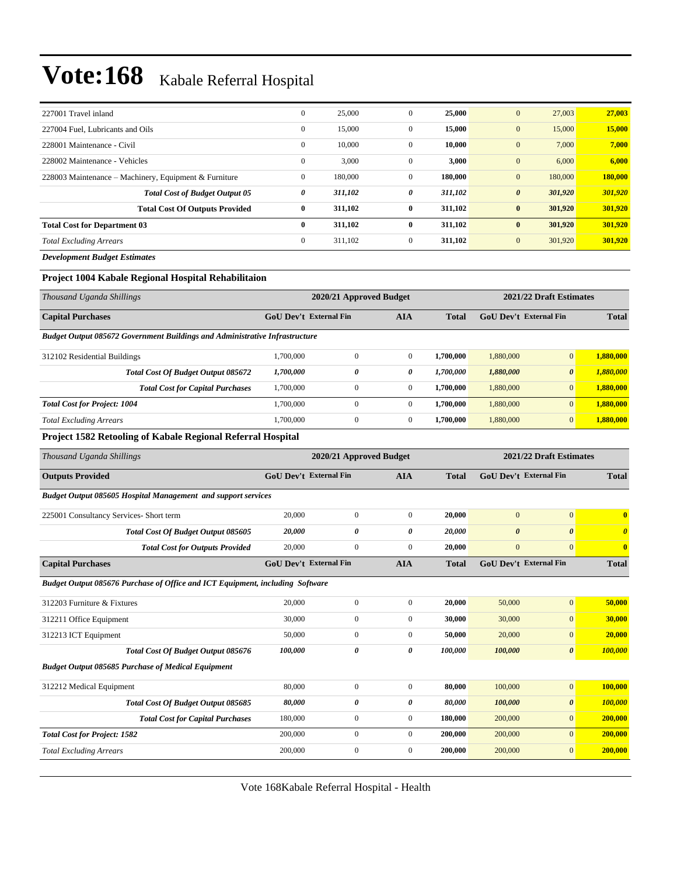| 227001 Travel inland                                  | $\overline{0}$ | 25,000  | 0            | 25,000  | 27,003<br>$\mathbf{0}$           | 27,003  |
|-------------------------------------------------------|----------------|---------|--------------|---------|----------------------------------|---------|
| 227004 Fuel, Lubricants and Oils                      | $\mathbf{0}$   | 15,000  | 0            | 15,000  | $\mathbf{0}$<br>15,000           | 15,000  |
| 228001 Maintenance - Civil                            | $\mathbf{0}$   | 10,000  | $\mathbf{0}$ | 10,000  | $\mathbf{0}$<br>7,000            | 7,000   |
| 228002 Maintenance - Vehicles                         | $\mathbf{0}$   | 3,000   | $\mathbf{0}$ | 3,000   | $\mathbf{0}$<br>6,000            | 6,000   |
| 228003 Maintenance – Machinery, Equipment & Furniture | $\mathbf{0}$   | 180,000 | $\mathbf{0}$ | 180,000 | 180,000<br>$\mathbf{0}$          | 180,000 |
| <b>Total Cost of Budget Output 05</b>                 | 0              | 311,102 | 0            | 311,102 | 301,920<br>$\boldsymbol{\theta}$ | 301,920 |
| <b>Total Cost Of Outputs Provided</b>                 | $\bf{0}$       | 311,102 | $\bf{0}$     | 311,102 | $\bf{0}$<br>301,920              | 301,920 |
| <b>Total Cost for Department 03</b>                   | $\bf{0}$       | 311,102 | $\mathbf{0}$ | 311,102 | $\bf{0}$<br>301,920              | 301,920 |
| <b>Total Excluding Arrears</b>                        | $\mathbf{0}$   | 311.102 | $\mathbf{0}$ | 311,102 | $\mathbf{0}$<br>301,920          | 301,920 |
| <b>Development Budget Estimates</b>                   |                |         |              |         |                                  |         |

### **Project 1004 Kabale Regional Hospital Rehabilitaion**

| 2020/21 Approved Budget                                                            |              |              |              | 2021/22 Draft Estimates       |                       |              |  |  |  |  |  |
|------------------------------------------------------------------------------------|--------------|--------------|--------------|-------------------------------|-----------------------|--------------|--|--|--|--|--|
| <b>GoU</b> Dev't External Fin                                                      |              | AIA          | <b>Total</b> | <b>GoU Dev't External Fin</b> |                       | <b>Total</b> |  |  |  |  |  |
| <b>Budget Output 085672 Government Buildings and Administrative Infrastructure</b> |              |              |              |                               |                       |              |  |  |  |  |  |
| 1.700.000                                                                          | $\mathbf{0}$ | $\Omega$     | 1,700,000    | 1,880,000                     | $\overline{0}$        | 1,880,000    |  |  |  |  |  |
| 1,700,000                                                                          | 0            | 0            | 1,700,000    | 1,880,000                     | $\boldsymbol{\theta}$ | 1.880.000    |  |  |  |  |  |
| 1,700,000                                                                          | $\mathbf{0}$ | $\mathbf{0}$ | 1,700,000    | 1.880,000                     | $\mathbf{0}$          | 1.880,000    |  |  |  |  |  |
| 1,700,000                                                                          | $\mathbf{0}$ | $\mathbf{0}$ | 1,700,000    | 1,880,000                     | $\overline{0}$        | 1.880,000    |  |  |  |  |  |
| 1.700.000                                                                          | $\mathbf{0}$ | $\mathbf{0}$ | 1.700.000    | 1,880,000                     | $\mathbf{0}$          | 1,880,000    |  |  |  |  |  |
|                                                                                    |              |              |              |                               |                       |              |  |  |  |  |  |

#### **Project 1582 Retooling of Kabale Regional Referral Hospital**

| Thousand Uganda Shillings                                                     | 2020/21 Approved Budget       |                  |                |              | 2021/22 Draft Estimates       |                       |                       |  |
|-------------------------------------------------------------------------------|-------------------------------|------------------|----------------|--------------|-------------------------------|-----------------------|-----------------------|--|
| <b>Outputs Provided</b>                                                       | <b>GoU</b> Dev't External Fin |                  | <b>AIA</b>     | <b>Total</b> | <b>GoU Dev't External Fin</b> |                       | <b>Total</b>          |  |
| Budget Output 085605 Hospital Management and support services                 |                               |                  |                |              |                               |                       |                       |  |
| 225001 Consultancy Services- Short term                                       | 20,000                        | $\boldsymbol{0}$ | $\mathbf{0}$   | 20,000       | $\overline{0}$                | $\mathbf{0}$          | $\mathbf{0}$          |  |
| Total Cost Of Budget Output 085605                                            | 20,000                        | 0                | 0              | 20,000       | $\boldsymbol{\theta}$         | $\boldsymbol{\theta}$ | $\boldsymbol{\theta}$ |  |
| <b>Total Cost for Outputs Provided</b>                                        | 20,000                        | $\boldsymbol{0}$ | $\mathbf{0}$   | 20,000       | $\boldsymbol{0}$              | $\mathbf{0}$          | $\bf{0}$              |  |
| <b>Capital Purchases</b>                                                      | <b>GoU Dev't External Fin</b> |                  | <b>AIA</b>     | <b>Total</b> | <b>GoU Dev't External Fin</b> |                       | <b>Total</b>          |  |
| Budget Output 085676 Purchase of Office and ICT Equipment, including Software |                               |                  |                |              |                               |                       |                       |  |
| 312203 Furniture & Fixtures                                                   | 20,000                        | $\boldsymbol{0}$ | $\mathbf{0}$   | 20,000       | 50,000                        | $\mathbf{0}$          | 50,000                |  |
| 312211 Office Equipment                                                       | 30,000                        | $\mathbf{0}$     | $\mathbf{0}$   | 30,000       | 30,000                        | $\mathbf{0}$          | 30,000                |  |
| 312213 ICT Equipment                                                          | 50,000                        | $\mathbf{0}$     | $\mathbf{0}$   | 50,000       | 20,000                        | $\mathbf{0}$          | 20,000                |  |
| Total Cost Of Budget Output 085676                                            | 100,000                       | 0                | 0              | 100,000      | 100,000                       | $\boldsymbol{\theta}$ | 100,000               |  |
| <b>Budget Output 085685 Purchase of Medical Equipment</b>                     |                               |                  |                |              |                               |                       |                       |  |
| 312212 Medical Equipment                                                      | 80,000                        | $\mathbf{0}$     | $\mathbf{0}$   | 80,000       | 100,000                       | $\overline{0}$        | 100,000               |  |
| Total Cost Of Budget Output 085685                                            | 80,000                        | 0                | 0              | 80,000       | 100,000                       | $\boldsymbol{\theta}$ | 100,000               |  |
| <b>Total Cost for Capital Purchases</b>                                       | 180,000                       | $\mathbf{0}$     | $\overline{0}$ | 180,000      | 200,000                       | $\overline{0}$        | 200,000               |  |
| <b>Total Cost for Project: 1582</b>                                           | 200,000                       | $\mathbf{0}$     | $\mathbf{0}$   | 200,000      | 200,000                       | $\mathbf{0}$          | 200,000               |  |
| <b>Total Excluding Arrears</b>                                                | 200,000                       | $\mathbf{0}$     | $\mathbf{0}$   | 200,000      | 200,000                       | $\mathbf{0}$          | 200,000               |  |